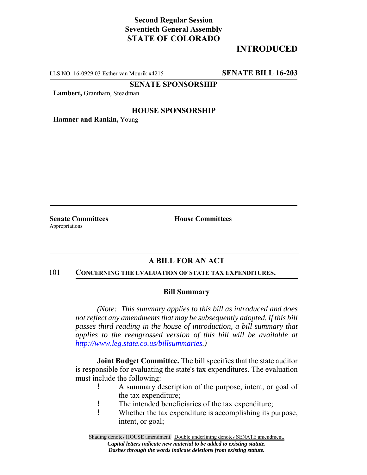# **Second Regular Session Seventieth General Assembly STATE OF COLORADO**

# **INTRODUCED**

LLS NO. 16-0929.03 Esther van Mourik x4215 **SENATE BILL 16-203**

**SENATE SPONSORSHIP**

**Lambert,** Grantham, Steadman

## **HOUSE SPONSORSHIP**

**Hamner and Rankin,** Young

Appropriations

**Senate Committees House Committees** 

## **A BILL FOR AN ACT**

#### 101 **CONCERNING THE EVALUATION OF STATE TAX EXPENDITURES.**

## **Bill Summary**

*(Note: This summary applies to this bill as introduced and does not reflect any amendments that may be subsequently adopted. If this bill passes third reading in the house of introduction, a bill summary that applies to the reengrossed version of this bill will be available at http://www.leg.state.co.us/billsummaries.)*

**Joint Budget Committee.** The bill specifies that the state auditor is responsible for evaluating the state's tax expenditures. The evaluation must include the following:

- ! A summary description of the purpose, intent, or goal of the tax expenditure;
- ! The intended beneficiaries of the tax expenditure;
- ! Whether the tax expenditure is accomplishing its purpose, intent, or goal;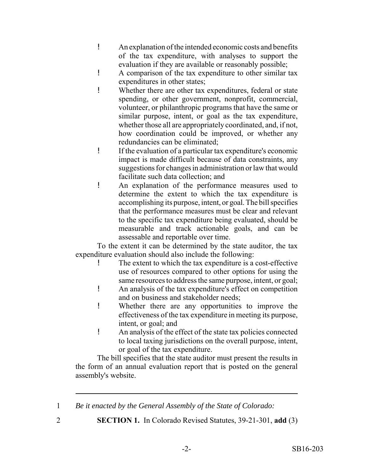- ! An explanation of the intended economic costs and benefits of the tax expenditure, with analyses to support the evaluation if they are available or reasonably possible;
- ! A comparison of the tax expenditure to other similar tax expenditures in other states;
- ! Whether there are other tax expenditures, federal or state spending, or other government, nonprofit, commercial, volunteer, or philanthropic programs that have the same or similar purpose, intent, or goal as the tax expenditure, whether those all are appropriately coordinated, and, if not, how coordination could be improved, or whether any redundancies can be eliminated;
- ! If the evaluation of a particular tax expenditure's economic impact is made difficult because of data constraints, any suggestions for changes in administration or law that would facilitate such data collection; and
- ! An explanation of the performance measures used to determine the extent to which the tax expenditure is accomplishing its purpose, intent, or goal. The bill specifies that the performance measures must be clear and relevant to the specific tax expenditure being evaluated, should be measurable and track actionable goals, and can be assessable and reportable over time.

To the extent it can be determined by the state auditor, the tax expenditure evaluation should also include the following:

- The extent to which the tax expenditure is a cost-effective use of resources compared to other options for using the same resources to address the same purpose, intent, or goal;
- ! An analysis of the tax expenditure's effect on competition and on business and stakeholder needs;
- ! Whether there are any opportunities to improve the effectiveness of the tax expenditure in meeting its purpose, intent, or goal; and
- ! An analysis of the effect of the state tax policies connected to local taxing jurisdictions on the overall purpose, intent, or goal of the tax expenditure.

The bill specifies that the state auditor must present the results in the form of an annual evaluation report that is posted on the general assembly's website.

- 1 *Be it enacted by the General Assembly of the State of Colorado:*
- 
- 2 **SECTION 1.** In Colorado Revised Statutes, 39-21-301, **add** (3)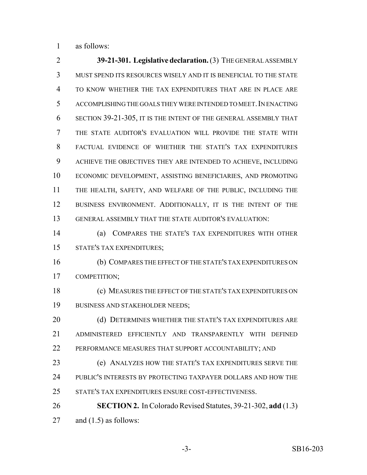as follows:

 **39-21-301. Legislative declaration.** (3) THE GENERAL ASSEMBLY MUST SPEND ITS RESOURCES WISELY AND IT IS BENEFICIAL TO THE STATE TO KNOW WHETHER THE TAX EXPENDITURES THAT ARE IN PLACE ARE ACCOMPLISHING THE GOALS THEY WERE INTENDED TO MEET.IN ENACTING SECTION 39-21-305, IT IS THE INTENT OF THE GENERAL ASSEMBLY THAT THE STATE AUDITOR'S EVALUATION WILL PROVIDE THE STATE WITH FACTUAL EVIDENCE OF WHETHER THE STATE'S TAX EXPENDITURES ACHIEVE THE OBJECTIVES THEY ARE INTENDED TO ACHIEVE, INCLUDING ECONOMIC DEVELOPMENT, ASSISTING BENEFICIARIES, AND PROMOTING THE HEALTH, SAFETY, AND WELFARE OF THE PUBLIC, INCLUDING THE 12 BUSINESS ENVIRONMENT. ADDITIONALLY, IT IS THE INTENT OF THE GENERAL ASSEMBLY THAT THE STATE AUDITOR'S EVALUATION: (a) COMPARES THE STATE'S TAX EXPENDITURES WITH OTHER STATE'S TAX EXPENDITURES; (b) COMPARES THE EFFECT OF THE STATE'S TAX EXPENDITURES ON COMPETITION;

 (c) MEASURES THE EFFECT OF THE STATE'S TAX EXPENDITURES ON BUSINESS AND STAKEHOLDER NEEDS;

20 (d) DETERMINES WHETHER THE STATE'S TAX EXPENDITURES ARE ADMINISTERED EFFICIENTLY AND TRANSPARENTLY WITH DEFINED PERFORMANCE MEASURES THAT SUPPORT ACCOUNTABILITY; AND

 (e) ANALYZES HOW THE STATE'S TAX EXPENDITURES SERVE THE PUBLIC'S INTERESTS BY PROTECTING TAXPAYER DOLLARS AND HOW THE STATE'S TAX EXPENDITURES ENSURE COST-EFFECTIVENESS.

**SECTION 2.** In Colorado Revised Statutes, 39-21-302, **add** (1.3)

27 and  $(1.5)$  as follows: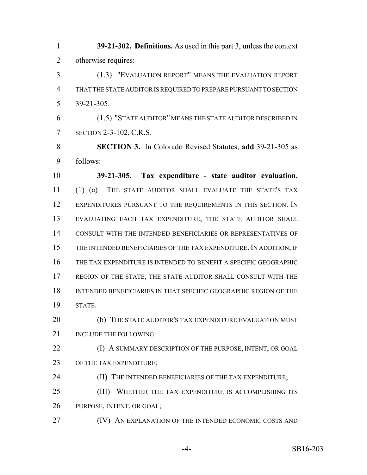**39-21-302. Definitions.** As used in this part 3, unless the context otherwise requires:

 (1.3) "EVALUATION REPORT" MEANS THE EVALUATION REPORT THAT THE STATE AUDITOR IS REQUIRED TO PREPARE PURSUANT TO SECTION 39-21-305.

 (1.5) "STATE AUDITOR" MEANS THE STATE AUDITOR DESCRIBED IN SECTION 2-3-102, C.R.S.

 **SECTION 3.** In Colorado Revised Statutes, **add** 39-21-305 as follows:

 **39-21-305. Tax expenditure - state auditor evaluation.** (1) (a) THE STATE AUDITOR SHALL EVALUATE THE STATE'S TAX 12 EXPENDITURES PURSUANT TO THE REQUIREMENTS IN THIS SECTION. IN EVALUATING EACH TAX EXPENDITURE, THE STATE AUDITOR SHALL CONSULT WITH THE INTENDED BENEFICIARIES OR REPRESENTATIVES OF THE INTENDED BENEFICIARIES OF THE TAX EXPENDITURE. IN ADDITION, IF THE TAX EXPENDITURE IS INTENDED TO BENEFIT A SPECIFIC GEOGRAPHIC REGION OF THE STATE, THE STATE AUDITOR SHALL CONSULT WITH THE INTENDED BENEFICIARIES IN THAT SPECIFIC GEOGRAPHIC REGION OF THE STATE.

20 (b) THE STATE AUDITOR'S TAX EXPENDITURE EVALUATION MUST 21 INCLUDE THE FOLLOWING:

**(I) A SUMMARY DESCRIPTION OF THE PURPOSE, INTENT, OR GOAL** 23 OF THE TAX EXPENDITURE;

24 (II) THE INTENDED BENEFICIARIES OF THE TAX EXPENDITURE;

25 (III) WHETHER THE TAX EXPENDITURE IS ACCOMPLISHING ITS PURPOSE, INTENT, OR GOAL;

**(IV)** AN EXPLANATION OF THE INTENDED ECONOMIC COSTS AND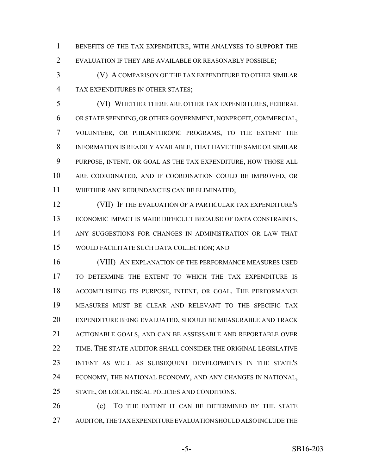BENEFITS OF THE TAX EXPENDITURE, WITH ANALYSES TO SUPPORT THE EVALUATION IF THEY ARE AVAILABLE OR REASONABLY POSSIBLE;

 (V) A COMPARISON OF THE TAX EXPENDITURE TO OTHER SIMILAR TAX EXPENDITURES IN OTHER STATES;

 (VI) WHETHER THERE ARE OTHER TAX EXPENDITURES, FEDERAL OR STATE SPENDING, OR OTHER GOVERNMENT, NONPROFIT, COMMERCIAL, VOLUNTEER, OR PHILANTHROPIC PROGRAMS, TO THE EXTENT THE INFORMATION IS READILY AVAILABLE, THAT HAVE THE SAME OR SIMILAR PURPOSE, INTENT, OR GOAL AS THE TAX EXPENDITURE, HOW THOSE ALL ARE COORDINATED, AND IF COORDINATION COULD BE IMPROVED, OR WHETHER ANY REDUNDANCIES CAN BE ELIMINATED;

 (VII) IF THE EVALUATION OF A PARTICULAR TAX EXPENDITURE'S ECONOMIC IMPACT IS MADE DIFFICULT BECAUSE OF DATA CONSTRAINTS, ANY SUGGESTIONS FOR CHANGES IN ADMINISTRATION OR LAW THAT WOULD FACILITATE SUCH DATA COLLECTION; AND

16 (VIII) AN EXPLANATION OF THE PERFORMANCE MEASURES USED TO DETERMINE THE EXTENT TO WHICH THE TAX EXPENDITURE IS ACCOMPLISHING ITS PURPOSE, INTENT, OR GOAL. THE PERFORMANCE MEASURES MUST BE CLEAR AND RELEVANT TO THE SPECIFIC TAX EXPENDITURE BEING EVALUATED, SHOULD BE MEASURABLE AND TRACK ACTIONABLE GOALS, AND CAN BE ASSESSABLE AND REPORTABLE OVER TIME. THE STATE AUDITOR SHALL CONSIDER THE ORIGINAL LEGISLATIVE INTENT AS WELL AS SUBSEQUENT DEVELOPMENTS IN THE STATE'S ECONOMY, THE NATIONAL ECONOMY, AND ANY CHANGES IN NATIONAL, STATE, OR LOCAL FISCAL POLICIES AND CONDITIONS.

**(c)** TO THE EXTENT IT CAN BE DETERMINED BY THE STATE AUDITOR, THE TAX EXPENDITURE EVALUATION SHOULD ALSO INCLUDE THE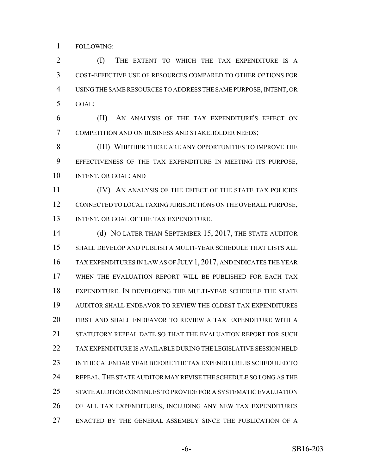FOLLOWING:

**(I)** THE EXTENT TO WHICH THE TAX EXPENDITURE IS A COST-EFFECTIVE USE OF RESOURCES COMPARED TO OTHER OPTIONS FOR USING THE SAME RESOURCES TO ADDRESS THE SAME PURPOSE, INTENT, OR GOAL;

 (II) AN ANALYSIS OF THE TAX EXPENDITURE'S EFFECT ON COMPETITION AND ON BUSINESS AND STAKEHOLDER NEEDS;

 (III) WHETHER THERE ARE ANY OPPORTUNITIES TO IMPROVE THE EFFECTIVENESS OF THE TAX EXPENDITURE IN MEETING ITS PURPOSE, INTENT, OR GOAL; AND

 (IV) AN ANALYSIS OF THE EFFECT OF THE STATE TAX POLICIES CONNECTED TO LOCAL TAXING JURISDICTIONS ON THE OVERALL PURPOSE, 13 INTENT, OR GOAL OF THE TAX EXPENDITURE.

 (d) NO LATER THAN SEPTEMBER 15, 2017, THE STATE AUDITOR SHALL DEVELOP AND PUBLISH A MULTI-YEAR SCHEDULE THAT LISTS ALL TAX EXPENDITURES IN LAW AS OF JULY 1, 2017, AND INDICATES THE YEAR WHEN THE EVALUATION REPORT WILL BE PUBLISHED FOR EACH TAX EXPENDITURE. IN DEVELOPING THE MULTI-YEAR SCHEDULE THE STATE AUDITOR SHALL ENDEAVOR TO REVIEW THE OLDEST TAX EXPENDITURES FIRST AND SHALL ENDEAVOR TO REVIEW A TAX EXPENDITURE WITH A STATUTORY REPEAL DATE SO THAT THE EVALUATION REPORT FOR SUCH TAX EXPENDITURE IS AVAILABLE DURING THE LEGISLATIVE SESSION HELD IN THE CALENDAR YEAR BEFORE THE TAX EXPENDITURE IS SCHEDULED TO REPEAL.THE STATE AUDITOR MAY REVISE THE SCHEDULE SO LONG AS THE STATE AUDITOR CONTINUES TO PROVIDE FOR A SYSTEMATIC EVALUATION OF ALL TAX EXPENDITURES, INCLUDING ANY NEW TAX EXPENDITURES ENACTED BY THE GENERAL ASSEMBLY SINCE THE PUBLICATION OF A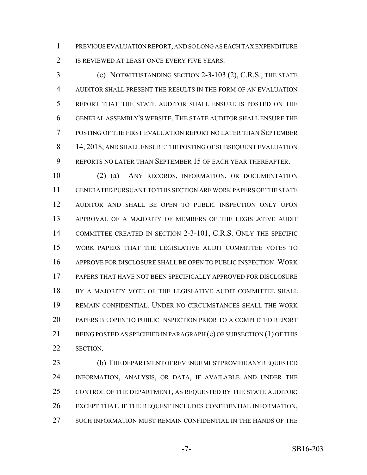PREVIOUS EVALUATION REPORT, AND SO LONG AS EACH TAX EXPENDITURE IS REVIEWED AT LEAST ONCE EVERY FIVE YEARS.

 (e) NOTWITHSTANDING SECTION 2-3-103 (2), C.R.S., THE STATE AUDITOR SHALL PRESENT THE RESULTS IN THE FORM OF AN EVALUATION REPORT THAT THE STATE AUDITOR SHALL ENSURE IS POSTED ON THE GENERAL ASSEMBLY'S WEBSITE. THE STATE AUDITOR SHALL ENSURE THE POSTING OF THE FIRST EVALUATION REPORT NO LATER THAN SEPTEMBER 14, 2018, AND SHALL ENSURE THE POSTING OF SUBSEQUENT EVALUATION REPORTS NO LATER THAN SEPTEMBER 15 OF EACH YEAR THEREAFTER.

 (2) (a) ANY RECORDS, INFORMATION, OR DOCUMENTATION GENERATED PURSUANT TO THIS SECTION ARE WORK PAPERS OF THE STATE AUDITOR AND SHALL BE OPEN TO PUBLIC INSPECTION ONLY UPON APPROVAL OF A MAJORITY OF MEMBERS OF THE LEGISLATIVE AUDIT COMMITTEE CREATED IN SECTION 2-3-101, C.R.S. ONLY THE SPECIFIC WORK PAPERS THAT THE LEGISLATIVE AUDIT COMMITTEE VOTES TO APPROVE FOR DISCLOSURE SHALL BE OPEN TO PUBLIC INSPECTION. WORK PAPERS THAT HAVE NOT BEEN SPECIFICALLY APPROVED FOR DISCLOSURE 18 BY A MAJORITY VOTE OF THE LEGISLATIVE AUDIT COMMITTEE SHALL REMAIN CONFIDENTIAL. UNDER NO CIRCUMSTANCES SHALL THE WORK PAPERS BE OPEN TO PUBLIC INSPECTION PRIOR TO A COMPLETED REPORT 21 BEING POSTED AS SPECIFIED IN PARAGRAPH (e) OF SUBSECTION (1) OF THIS SECTION.

 (b) THE DEPARTMENT OF REVENUE MUST PROVIDE ANY REQUESTED INFORMATION, ANALYSIS, OR DATA, IF AVAILABLE AND UNDER THE CONTROL OF THE DEPARTMENT, AS REQUESTED BY THE STATE AUDITOR; EXCEPT THAT, IF THE REQUEST INCLUDES CONFIDENTIAL INFORMATION, SUCH INFORMATION MUST REMAIN CONFIDENTIAL IN THE HANDS OF THE